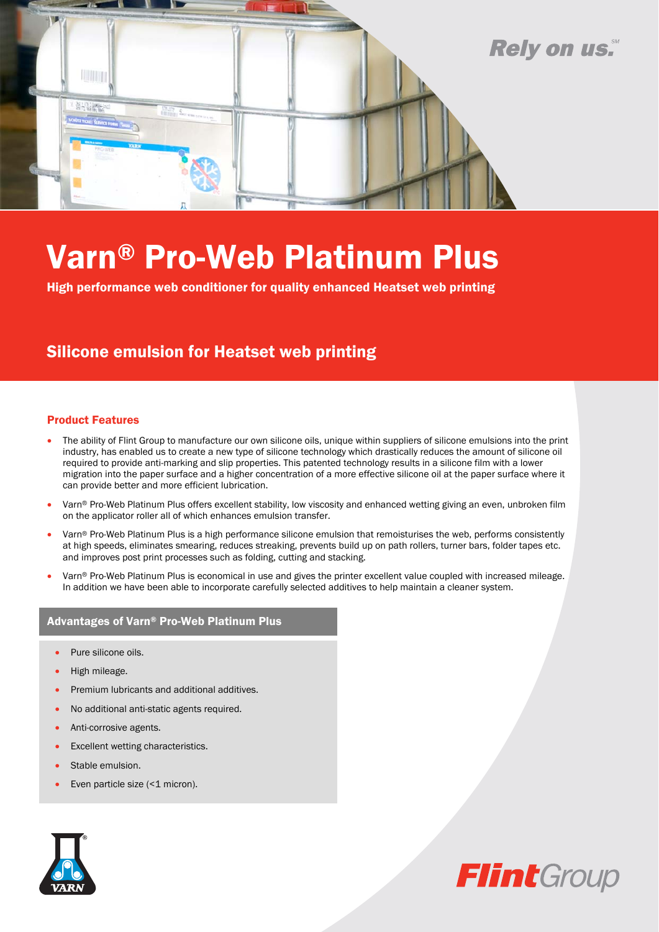

# Varn® Pro-Web Platinum Plus

High performance web conditioner for quality enhanced Heatset web printing

### Silicone emulsion for Heatset web printing

#### Product Features

- The ability of Flint Group to manufacture our own silicone oils, unique within suppliers of silicone emulsions into the print industry, has enabled us to create a new type of silicone technology which drastically reduces the amount of silicone oil required to provide anti-marking and slip properties. This patented technology results in a silicone film with a lower migration into the paper surface and a higher concentration of a more effective silicone oil at the paper surface where it can provide better and more efficient lubrication.
- Varn® Pro-Web Platinum Plus offers excellent stability, low viscosity and enhanced wetting giving an even, unbroken film on the applicator roller all of which enhances emulsion transfer.
- Varn® Pro-Web Platinum Plus is a high performance silicone emulsion that remoisturises the web, performs consistently at high speeds, eliminates smearing, reduces streaking, prevents build up on path rollers, turner bars, folder tapes etc. and improves post print processes such as folding, cutting and stacking.
- Varn® Pro-Web Platinum Plus is economical in use and gives the printer excellent value coupled with increased mileage. In addition we have been able to incorporate carefully selected additives to help maintain a cleaner system.

#### Advantages of Varn® Pro-Web Platinum Plus

- Pure silicone oils.
- High mileage.
- Premium lubricants and additional additives.
- No additional anti-static agents required.
- Anti-corrosive agents.
- Excellent wetting characteristics.
- Stable emulsion.
- Even particle size (<1 micron).